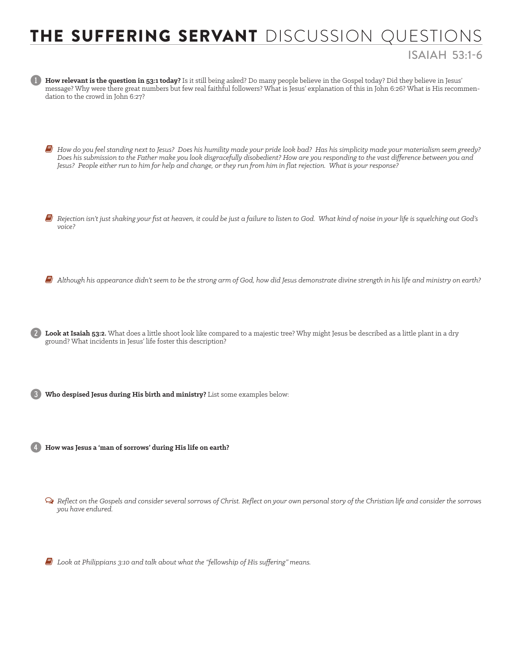## THE SUFFERING SERVANT DISCUSSION QUESTIONS ISAIAH 53:1-6

| How relevant is the question in 53:1 today? Is it still being asked? Do many people believe in the Gospel today? Did they believe in Jesus'<br>message? Why were there great numbers but few real faithful followers? What is Jesus' explanation of this in John 6:26? What is His recommen-<br>dation to the crowd in John 6:27?                                                                            |  |  |
|--------------------------------------------------------------------------------------------------------------------------------------------------------------------------------------------------------------------------------------------------------------------------------------------------------------------------------------------------------------------------------------------------------------|--|--|
| How do you feel standing next to Jesus? Does his humility made your pride look bad? Has his simplicity made your materialism seem greedy?<br>Does his submission to the Father make you look disgracefully disobedient? How are you responding to the vast difference between you and<br>Jesus? People either run to him for help and change, or they run from him in flat rejection. What is your response? |  |  |
| Rejection isn't just shaking your fist at heaven, it could be just a failure to listen to God. What kind of noise in your life is squelching out God's<br>voice?                                                                                                                                                                                                                                             |  |  |
| Although his appearance didn't seem to be the strong arm of God, how did Jesus demonstrate divine strength in his life and ministry on earth?                                                                                                                                                                                                                                                                |  |  |
| (2) Look at Isaiah 53:2. What does a little shoot look like compared to a majestic tree? Why might Jesus be described as a little plant in a dry<br>ground? What incidents in Jesus' life foster this description?                                                                                                                                                                                           |  |  |
| Who despised Jesus during His birth and ministry? List some examples below:                                                                                                                                                                                                                                                                                                                                  |  |  |
| 4 How was Jesus a 'man of sorrows' during His life on earth?                                                                                                                                                                                                                                                                                                                                                 |  |  |
| $\Omega$ Reflect on the Gospels and consider several sorrows of Christ. Reflect on your own personal story of the Christian life and consider the sorrows<br>you have endured.                                                                                                                                                                                                                               |  |  |
| $E$ Look at Philippians 3:10 and talk about what the "fellowship of His suffering" means.                                                                                                                                                                                                                                                                                                                    |  |  |